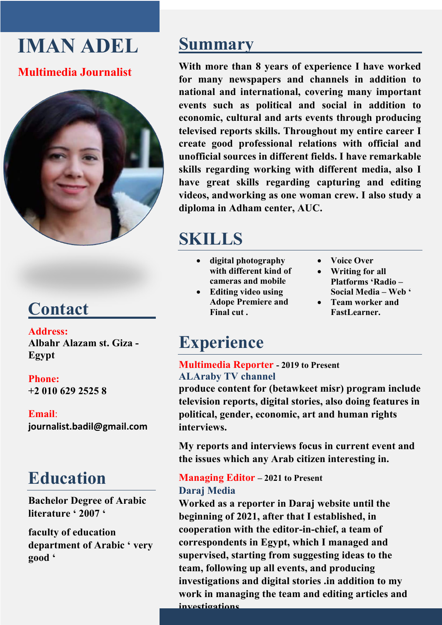# **IMAN ADEL**

### **Multimedia Journalist**



# **Contact**

**Address: Albahr Alazam st. Giza - Egypt**

#### **Phone:**

**+2 010 629 2525 8**

#### **Email**:

**journalist.badil@gmail.com**

### **Education**

**Bachelor Degree of Arabic literature ' 2007 '**

**faculty of education department of Arabic ' very good '**

### **Summary**

**With more than 8 years of experience I have worked for many newspapers and channels in addition to national and international, covering many important events such as political and social in addition to economic, cultural and arts events through producing televised reports skills. Throughout my entire career I create good professional relations with official and unofficial sources in different fields. I have remarkable skills regarding working with different media, also I have great skills regarding capturing and editing videos, andworking as one woman crew. I also study a diploma in Adham center, AUC.**

# **SKILLS**

- **digital photography with different kind of cameras and mobile**
- **Editing video using Adope Premiere and Final cut .**
- **Voice Over**
- **Writing for all Platforms 'Radio – Social Media – Web '**
- **Team worker and FastLearner.**

## **Experience**

#### **Multimedia Reporter - 2019 to Present ALAraby TV channel**

**produce content for (betawkeet misr) program include television reports, digital stories, also doing features in political, gender, economic, art and human rights interviews.**

**My reports and interviews focus in current event and the issues which any Arab citizen interesting in.**

### **Managing Editor – 2021 to Present Daraj Media**

**Worked as a reporter in Daraj website until the beginning of 2021, after that I established, in cooperation with the editor-in-chief, a team of correspondents in Egypt, which I managed and supervised, starting from suggesting ideas to the team, following up all events, and producing investigations and digital stories .in addition to my work in managing the team and editing articles and investigations.**